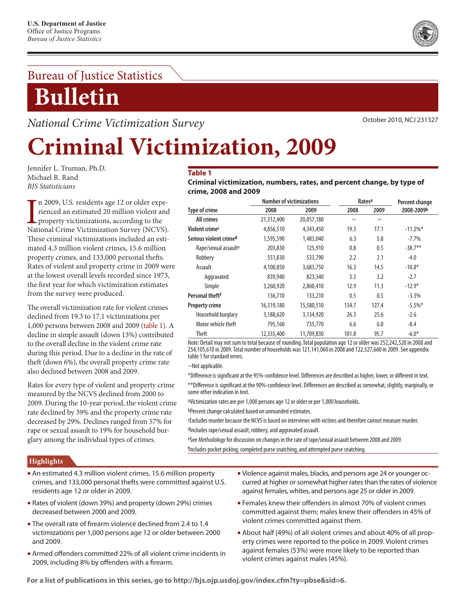### Bureau of Justice Statistics

## **Bulletin**

*National Crime Victimization Survey*

October 2010, NCJ 231327

# **Criminal Victimization, 2009**

Jennifer L. Truman, Ph.D. Michael R. Rand *BJS Statisticians*

In 2009, U.S. residents age 12 or older experienced an estimated 20 million violent and property victimizations, according to the National Crime Victimization Survey (NCVS). n 2009, U.S. residents age 12 or older experienced an estimated 20 million violent and property victimizations, according to the These criminal victimizations included an estimated 4.3 million violent crimes, 15.6 million property crimes, and 133,000 personal thefts. Rates of violent and property crime in 2009 were at the lowest overall levels recorded since 1973, the first year for which victimization estimates from the survey were produced.

The overall victimization rate for violent crimes declined from 19.3 to 17.1 victimizations per 1,000 persons between 2008 and 2009 (table 1). A decline in simple assault (down 13%) contributed to the overall decline in the violent crime rate during this period. Due to a decline in the rate of theft (down 6%), the overall property crime rate also declined between 2008 and 2009.

Rates for every type of violent and property crime measured by the NCVS declined from 2000 to 2009. During the 10-year period, the violent crime rate declined by 39% and the property crime rate decreased by 29%. Declines ranged from 57% for rape or sexual assault to 19% for household burglary among the individual types of crimes.

#### **Table 1**

**Criminal victimization, numbers, rates, and percent change, by type of crime, 2008 and 2009**

|                                  | <b>Number of victimizations</b> |            |        | Rates <sup>a</sup> | Percent change |  |
|----------------------------------|---------------------------------|------------|--------|--------------------|----------------|--|
| <b>Type of crime</b>             | 2008                            | 2009       | 2008   | 2009               | 2008-2009b     |  |
| <b>All crimes</b>                | 21,312,400                      | 20,057,180 | $\sim$ | $\tilde{}$         |                |  |
| Violent crime <sup>c</sup>       | 4,856,510                       | 4,343,450  | 19.3   | 17.1               | $-11.2\%$ *    |  |
| Serious violent crimed           | 1,595,590                       | 1,483,040  | 6.3    | 5.8                | $-7.7\%$       |  |
| Rape/sexual assault <sup>e</sup> | 203,830                         | 125,910    | 0.8    | 0.5                | $-38.7***$     |  |
| Robbery                          | 551,830                         | 533,790    | 2.2    | 2.1                | $-4.0$         |  |
| Assault                          | 4,100,850                       | 3,683,750  | 16.3   | 14.5               | $-10.8*$       |  |
| Aggravated                       | 839,940                         | 823,340    | 3.3    | 3.2                | $-2.7$         |  |
| Simple                           | 3,260,920                       | 2,860,410  | 12.9   | 11.3               | $-12.9*$       |  |
| Personal theft <sup>f</sup>      | 136,710                         | 133,210    | 0.5    | 0.5                | $-3.3%$        |  |
| <b>Property crime</b>            | 16,319,180                      | 15,580,510 | 134.7  | 127.4              | $-5.5\%$ *     |  |
| Household burglary               | 3,188,620                       | 3,134,920  | 26.3   | 25.6               | $-2.6$         |  |
| Motor vehicle theft              | 795,160                         | 735,770    | 6.6    | 6.0                | $-8.4$         |  |
| <b>Theft</b>                     | 12,335,400                      | 11,709,830 | 101.8  | 95.7               | $-6.0*$        |  |

Note: Detail may not sum to total because of rounding. Total population age 12 or older was 252,242,520 in 2008 and 254,105,610 in 2009. Total number of households was 121,141,060 in 2008 and 122,327,660 in 2009. See appendix table 1 for standard errors.

 $~\sim$ Not applicable.

\*Difference is significant at the 95%-confidence level. Differences are described as higher, lower, or different in text.

\*\*Difference is significant at the 90%-confidence level. Differences are described as somewhat, slightly, marginally, or some other indication in text.

aVictimization rates are per 1,000 persons age 12 or older or per 1,000 households.

bPercent change calculated based on unrounded estimates.

cExcludes murder because the NCVS is based on interviews with victims and therefore cannot measure murder. dIncludes rape/sexual assault, robbery, and aggravated assault.

eSee *Methodology* for discussion on changes in the rate of rape/sexual assault between 2008 and 2009. <sup>f</sup>Includes pocket picking, completed purse snatching, and attempted purse snatching.

#### **Highlights**

- An estimated 4.3 million violent crimes, 15.6 million property crimes, and 133,000 personal thefts were committed against U.S. residents age 12 or older in 2009.
- Rates of violent (down 39%) and property (down 29%) crimes decreased between 2000 and 2009.
- **The overall rate of firearm violence declined from 2.4 to 1.4** victimizations per 1,000 persons age 12 or older between 2000 and 2009.
- Armed offenders committed 22% of all violent crime incidents in 2009, including 8% by offenders with a firearm.
- Violence against males, blacks, and persons age 24 or younger occurred at higher or somewhat higher rates than the rates of violence against females, whites, and persons age 25 or older in 2009.
- Females knew their offenders in almost 70% of violent crimes committed against them; males knew their offenders in 45% of violent crimes committed against them.
- About half (49%) of all violent crimes and about 40% of all property crimes were reported to the police in 2009. Violent crimes against females (53%) were more likely to be reported than violent crimes against males (45%).

**For a list of publications in this series, go to http://bjs.ojp.usdoj.gov/index.cfm?ty=pbse&sid=6.**

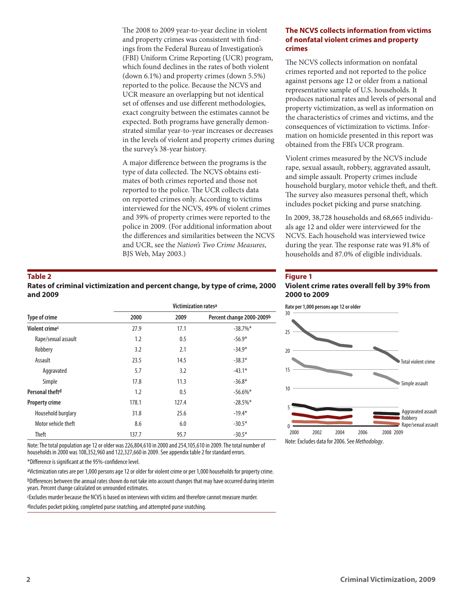The 2008 to 2009 year-to-year decline in violent and property crimes was consistent with findings from the Federal Bureau of Investigation's (FBI) Uniform Crime Reporting (UCR) program, which found declines in the rates of both violent (down 6.1%) and property crimes (down 5.5%) reported to the police. Because the NCVS and UCR measure an overlapping but not identical set of offenses and use different methodologies, exact congruity between the estimates cannot be expected. Both programs have generally demonstrated similar year-to-year increases or decreases in the levels of violent and property crimes during the survey's 38-year history.

A major difference between the programs is the type of data collected. The NCVS obtains estimates of both crimes reported and those not reported to the police. The UCR collects data on reported crimes only. According to victims interviewed for the NCVS, 49% of violent crimes and 39% of property crimes were reported to the police in 2009. (For additional information about the differences and similarities between the NCVS and UCR, see the *Nation's Two Crime Measures*, BJS Web, May 2003.)

#### **The NCVS collects information from victims of nonfatal violent crimes and property crimes**

The NCVS collects information on nonfatal crimes reported and not reported to the police against persons age 12 or older from a national representative sample of U.S. households. It produces national rates and levels of personal and property victimization, as well as information on the characteristics of crimes and victims, and the consequences of victimization to victims. Information on homicide presented in this report was obtained from the FBI's UCR program.

Violent crimes measured by the NCVS include rape, sexual assault, robbery, aggravated assault, and simple assault. Property crimes include household burglary, motor vehicle theft, and theft. The survey also measures personal theft, which includes pocket picking and purse snatching.

In 2009, 38,728 households and 68,665 individuals age 12 and older were interviewed for the NCVS. Each household was interviewed twice during the year. The response rate was 91.8% of households and 87.0% of eligible individuals.

#### **Figure 1**

#### **Violent crime rates overall fell by 39% from 2000 to 2009**

**Victimization ratesa Type of crime 2000 2009 Percent change 2000-2009b Violent crime<sup>c</sup>** 27.9 17.1 -38.7%\* Rape/sexual assault  $1.2$   $0.5$   $-56.9*$ Robbery 3.2 2.1  $-34.9*$  $\text{Assault}$   $23.5$   $14.5$   $-38.3*$ Aggravated 5.7 3.2 -43.1\* Simple  $17.8$  11.3  $-36.8*$ **Personal theft<sup>d</sup>**  $1.2$  0.5  $-56.6\%$ \* **Property crime** 178.1 127.4 -28.5%\* Household burglary 31.8 25.6 -19.4\* Motor vehicle theft 6.6 6.0 -30.5\* Theft  $137.7$  95.7  $-30.5*$ 

**Rates of criminal victimization and percent change, by type of crime, 2000** 

Note: The total population age 12 or older was 226,804,610 in 2000 and 254,105,610 in 2009. The total number of households in 2000 was 108,352,960 and 122,327,660 in 2009. See appendix table 2 for standard errors.

\*Difference is significant at the 95%-confidence level.

aVictimization rates are per 1,000 persons age 12 or older for violent crime or per 1,000 households for property crime. bDifferences between the annual rates shown do not take into account changes that may have occurred during interim years. Percent change calculated on unrounded estimates.

cExcludes murder because the NCVS is based on interviews with victims and therefore cannot measure murder.

dIncludes pocket picking, completed purse snatching, and attempted purse snatching.

 $0 - \frac{1}{2000}$ 5 10 15  $20$  $25$ 30 Simple assault Aggravated assault Robbery Rape/sexual assault Total violent crime 2000 2002 2004 2006 2008 2009 **Rate per 1,000 persons age 12 or older** Note: Excludes data for 2006. See *Methodology*.

**2 Criminal Victimization, 2009**

**Table 2**

**and 2009**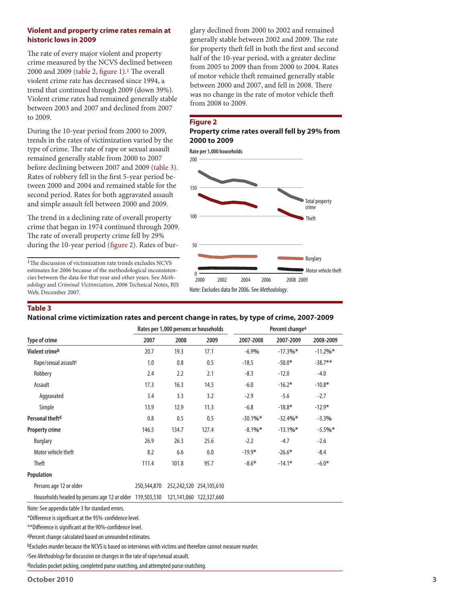#### **Violent and property crime rates remain at historic lows in 2009**

The rate of every major violent and property crime measured by the NCVS declined between 2000 and 2009 (table 2, figure 1).1 The overall violent crime rate has decreased since 1994, a trend that continued through 2009 (down 39%). Violent crime rates had remained generally stable between 2003 and 2007 and declined from 2007 to 2009.

During the 10-year period from 2000 to 2009, trends in the rates of victimization varied by the type of crime. The rate of rape or sexual assault remained generally stable from 2000 to 2007 before declining between 2007 and 2009 (table 3). Rates of robbery fell in the first 5-year period between 2000 and 2004 and remained stable for the second period. Rates for both aggravated assault and simple assault fell between 2000 and 2009.

The trend in a declining rate of overall property crime that began in 1974 continued through 2009. The rate of overall property crime fell by 29% during the 10-year period (figure 2). Rates of bur-

1The discussion of victimization rate trends excludes NCVS estimates for 2006 because of the methodological inconsistencies between the data for that year and other years. See *Methodology* and *Criminal Victimization, 2006* Technical Notes, BJS Web, December 2007.

glary declined from 2000 to 2002 and remained generally stable between 2002 and 2009. The rate for property theft fell in both the first and second half of the 10-year period, with a greater decline from 2005 to 2009 than from 2000 to 2004. Rates of motor vehicle theft remained generally stable between 2000 and 2007, and fell in 2008. There was no change in the rate of motor vehicle theft from 2008 to 2009.

#### **Figure 2**

**Property crime rates overall fell by 29% from 2000 to 2009** 



#### **Table 3**

#### **National crime victimization rates and percent change in rates, by type of crime, 2007-2009**

|                                                          |             | Rates per 1,000 persons or households |                         | Percent change <sup>a</sup> |            |             |
|----------------------------------------------------------|-------------|---------------------------------------|-------------------------|-----------------------------|------------|-------------|
| Type of crime                                            | 2007        | 2008                                  | 2009                    | 2007-2008                   | 2007-2009  | 2008-2009   |
| Violent crime <sup>b</sup>                               | 20.7        | 19.3                                  | 17.1                    | $-6.9%$                     | $-17.3%$ * | $-11.2\%$ * |
| Rape/sexual assault <sup>c</sup>                         | 1.0         | 0.8                                   | 0.5                     | $-18.5$                     | $-50.0*$   | $-38.7**$   |
| Robbery                                                  | 2.4         | 2.2                                   | 2.1                     | $-8.3$                      | $-12.0$    | $-4.0$      |
| Assault                                                  | 17.3        | 16.3                                  | 14.5                    | $-6.0$                      | $-16.2*$   | $-10.8*$    |
| Aggravated                                               | 3.4         | 3.3                                   | 3.2                     | $-2.9$                      | $-5.6$     | $-2.7$      |
| Simple                                                   | 13.9        | 12.9                                  | 11.3                    | $-6.8$                      | $-18.8*$   | $-12.9*$    |
| Personal theft <sup>d</sup>                              | 0.8         | 0.5                                   | 0.5                     | $-30.1%$                    | $-32.4%$ * | $-3.3%$     |
| <b>Property crime</b>                                    | 146.5       | 134.7                                 | 127.4                   | $-8.1\%$ *                  | $-13.1%$ * | $-5.5%$ *   |
| <b>Burglary</b>                                          | 26.9        | 26.3                                  | 25.6                    | $-2.2$                      | $-4.7$     | $-2.6$      |
| Motor vehicle theft                                      | 8.2         | 6.6                                   | 6.0                     | $-19.9*$                    | $-26.6*$   | $-8.4$      |
| <b>Theft</b>                                             | 111.4       | 101.8                                 | 95.7                    | $-8.6*$                     | $-14.1*$   | $-6.0*$     |
| Population                                               |             |                                       |                         |                             |            |             |
| Persons age 12 or older                                  | 250,344,870 |                                       | 252,242,520 254,105,610 |                             |            |             |
| Households headed by persons age 12 or older 119,503,530 |             |                                       | 121,141,060 122,327,660 |                             |            |             |

Note: See appendix table 3 for standard errors.

\*Difference is significant at the 95%-confidence level.

\*\*Difference is significant at the 90%-confidence level.

aPercent change calculated based on unrounded estimates.

bExcludes murder because the NCVS is based on interviews with victims and therefore cannot measure murder.

cSee *Methodology* for discussion on changes in the rate of rape/sexual assault.

dIncludes pocket picking, completed purse snatching, and attempted purse snatching.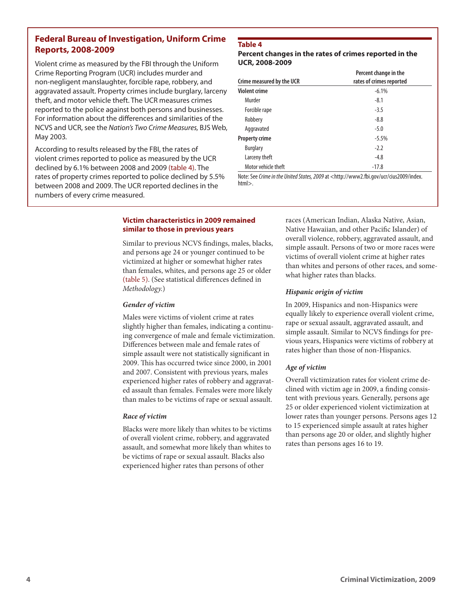#### **Federal Bureau of Investigation, Uniform Crime Reports, 2008-2009**

Violent crime as measured by the FBI through the Uniform Crime Reporting Program (UCR) includes murder and non-negligent manslaughter, forcible rape, robbery, and aggravated assault. Property crimes include burglary, larceny theft, and motor vehicle theft. The UCR measures crimes reported to the police against both persons and businesses. For information about the differences and similarities of the NCVS and UCR, see the *Nation's Two Crime Measures,* BJS Web, May 2003*.*

According to results released by the FBI, the rates of violent crimes reported to police as measured by the UCR declined by 6.1% between 2008 and 2009 (table 4). The rates of property crimes reported to police declined by 5.5% between 2008 and 2009. The UCR reported declines in the numbers of every crime measured.

#### **Table 4**

#### **Percent changes in the rates of crimes reported in the UCR, 2008-2009**

| Crime measured by the UCR | Percent change in the<br>rates of crimes reported |
|---------------------------|---------------------------------------------------|
| <b>Violent crime</b>      | $-6.1%$                                           |
| Murder                    | $-8.1$                                            |
| Forcible rape             | $-3.5$                                            |
| Robbery                   | $-8.8$                                            |
| Aggravated                | $-5.0$                                            |
| <b>Property crime</b>     | $-5.5%$                                           |
| <b>Burglary</b>           | $-2.2$                                            |
| Larceny theft             | $-4.8$                                            |
| Motor vehicle theft       | $-17.8$                                           |

Note: See *Crime in the United States, 2009* at <http://www2.fbi.gov/ucr/cius2009/index. html>.

#### **Victim characteristics in 2009 remained similar to those in previous years**

Similar to previous NCVS findings, males, blacks, and persons age 24 or younger continued to be victimized at higher or somewhat higher rates than females, whites, and persons age 25 or older (table 5). (See statistical differences defined in *Methodology.*)

#### *Gender of victim*

Males were victims of violent crime at rates slightly higher than females, indicating a continuing convergence of male and female victimization. Differences between male and female rates of simple assault were not statistically significant in 2009. This has occurred twice since 2000, in 2001 and 2007. Consistent with previous years, males experienced higher rates of robbery and aggravated assault than females. Females were more likely than males to be victims of rape or sexual assault.

#### *Race of victim*

Blacks were more likely than whites to be victims of overall violent crime, robbery, and aggravated assault, and somewhat more likely than whites to be victims of rape or sexual assault. Blacks also experienced higher rates than persons of other

races (American Indian, Alaska Native, Asian, Native Hawaiian, and other Pacific Islander) of overall violence, robbery, aggravated assault, and simple assault. Persons of two or more races were victims of overall violent crime at higher rates than whites and persons of other races, and somewhat higher rates than blacks.

#### *Hispanic origin of victim*

In 2009, Hispanics and non-Hispanics were equally likely to experience overall violent crime, rape or sexual assault, aggravated assault, and simple assault. Similar to NCVS findings for previous years, Hispanics were victims of robbery at rates higher than those of non-Hispanics.

#### *Age of victim*

Overall victimization rates for violent crime declined with victim age in 2009, a finding consistent with previous years. Generally, persons age 25 or older experienced violent victimization at lower rates than younger persons. Persons ages 12 to 15 experienced simple assault at rates higher than persons age 20 or older, and slightly higher rates than persons ages 16 to 19.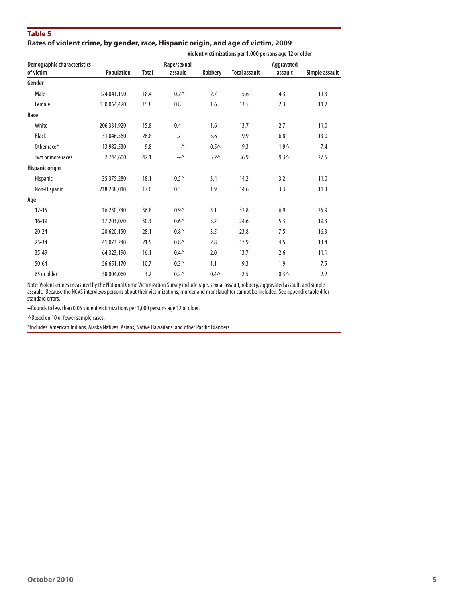#### **Table 5 Rates of violent crime, by gender, race, Hispanic origin, and age of victim, 2009**

|                                          |             |              |                        |                  | Violent victimizations per 1,000 persons age 12 or older |                       |                |
|------------------------------------------|-------------|--------------|------------------------|------------------|----------------------------------------------------------|-----------------------|----------------|
| Demographic characteristics<br>of victim |             | <b>Total</b> | Rape/sexual<br>assault |                  | <b>Total assault</b>                                     | Aggravated<br>assault |                |
|                                          | Population  |              |                        | Robbery          |                                                          |                       | Simple assault |
| Gender                                   |             |              |                        |                  |                                                          |                       |                |
| Male                                     | 124,041,190 | 18.4         | $0.2\wedge$            | 2.7              | 15.6                                                     | 4.3                   | 11.3           |
| Female                                   | 130,064,420 | 15.8         | 0.8                    | 1.6              | 13.5                                                     | 2.3                   | 11.2           |
| Race                                     |             |              |                        |                  |                                                          |                       |                |
| White                                    | 206,331,920 | 15.8         | 0.4                    | 1.6              | 13.7                                                     | 2.7                   | 11.0           |
| <b>Black</b>                             | 31,046,560  | 26.8         | 1.2                    | 5.6              | 19.9                                                     | 6.8                   | 13.0           |
| Other race*                              | 13,982,530  | 9.8          | $-\Lambda$             | $0.5\wedge$      | 9.3                                                      | 1.9 <sub>0</sub>      | 7.4            |
| Two or more races                        | 2,744,600   | 42.1         | $- \Lambda$            | 5.2 <sub>0</sub> | 36.9                                                     | 9.3 <sub>0</sub>      | 27.5           |
| Hispanic origin                          |             |              |                        |                  |                                                          |                       |                |
| <b>Hispanic</b>                          | 35,375,280  | 18.1         | 0.5 <sub>0</sub>       | 3.4              | 14.2                                                     | 3.2                   | 11.0           |
| Non-Hispanic                             | 218,238,010 | 17.0         | 0.5                    | 1.9              | 14.6                                                     | 3.3                   | 11.3           |
| Age                                      |             |              |                        |                  |                                                          |                       |                |
| $12 - 15$                                | 16,230,740  | 36.8         | 0.9 <sub>0</sub>       | 3.1              | 32.8                                                     | 6.9                   | 25.9           |
| $16 - 19$                                | 17,203,070  | 30.3         | $0.6\wedge$            | 5.2              | 24.6                                                     | 5.3                   | 19.3           |
| $20 - 24$                                | 20,620,150  | 28.1         | $0.8 \wedge$           | 3.5              | 23.8                                                     | 7.5                   | 16.3           |
| $25 - 34$                                | 41,073,240  | 21.5         | 0.8 <sub>0</sub>       | 2.8              | 17.9                                                     | 4.5                   | 13.4           |
| $35 - 49$                                | 64,323,190  | 16.1         | 0.4 <sub>0</sub>       | 2.0              | 13.7                                                     | 2.6                   | 11.1           |
| $50 - 64$                                | 56,651,170  | 10.7         | 0.3 <sub>0</sub>       | 1.1              | 9.3                                                      | 1.9                   | 7.5            |
| 65 or older                              | 38,004,060  | 3.2          | 0.2 <sub>0</sub>       | 0.4 <sub>0</sub> | 2.5                                                      | $0.3\wedge$           | 2.2            |

Note: Violent crimes measured by the National Crime Victimization Survey include rape, sexual assault, robbery, aggravated assault, and simple assault. Because the NCVS interviews persons about their victimizations, murder and manslaughter cannot be included. See appendix table 4 for standard errors.

--Rounds to less than 0.05 violent victimizations per 1,000 persons age 12 or older.

^Based on 10 or fewer sample cases.

\*Includes American Indians, Alaska Natives, Asians, Native Hawaiians, and other Pacific Islanders.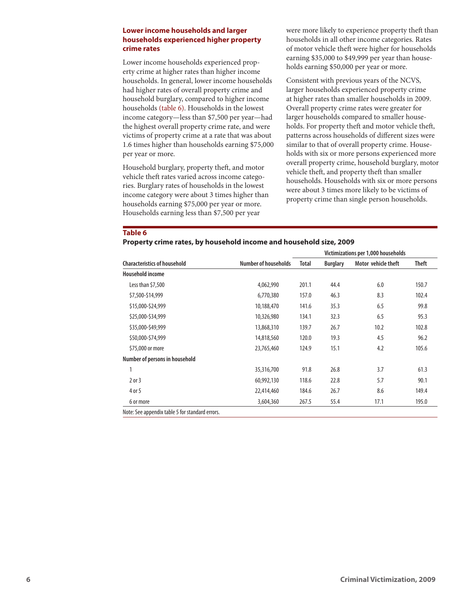#### **Lower income households and larger households experienced higher property crime rates**

Lower income households experienced property crime at higher rates than higher income households. In general, lower income households had higher rates of overall property crime and household burglary, compared to higher income households (table 6). Households in the lowest income category—less than \$7,500 per year—had the highest overall property crime rate, and were victims of property crime at a rate that was about 1.6 times higher than households earning \$75,000 per year or more.

Household burglary, property theft, and motor vehicle theft rates varied across income categories. Burglary rates of households in the lowest income category were about 3 times higher than households earning \$75,000 per year or more. Households earning less than \$7,500 per year

were more likely to experience property theft than households in all other income categories. Rates of motor vehicle theft were higher for households earning \$35,000 to \$49,999 per year than households earning \$50,000 per year or more.

Consistent with previous years of the NCVS, larger households experienced property crime at higher rates than smaller households in 2009. Overall property crime rates were greater for larger households compared to smaller households. For property theft and motor vehicle theft, patterns across households of different sizes were similar to that of overall property crime. Households with six or more persons experienced more overall property crime, household burglary, motor vehicle theft, and property theft than smaller households. Households with six or more persons were about 3 times more likely to be victims of property crime than single person households.

#### **Table 6**

**Property crime rates, by household income and household size, 2009**

|                                     |                             | Victimizations per 1,000 households |                 |                     |              |  |  |
|-------------------------------------|-----------------------------|-------------------------------------|-----------------|---------------------|--------------|--|--|
| <b>Characteristics of household</b> | <b>Number of households</b> | <b>Total</b>                        | <b>Burglary</b> | Motor vehicle theft | <b>Theft</b> |  |  |
| <b>Household income</b>             |                             |                                     |                 |                     |              |  |  |
| Less than \$7,500                   | 4,062,990                   | 201.1                               | 44.4            | 6.0                 | 150.7        |  |  |
| \$7,500-\$14,999                    | 6,770,380                   | 157.0                               | 46.3            | 8.3                 | 102.4        |  |  |
| \$15,000-\$24,999                   | 10,188,470                  | 141.6                               | 35.3            | 6.5                 | 99.8         |  |  |
| \$25,000-\$34,999                   | 10,326,980                  | 134.1                               | 32.3            | 6.5                 | 95.3         |  |  |
| \$35,000-\$49,999                   | 13,868,310                  | 139.7                               | 26.7            | 10.2                | 102.8        |  |  |
| \$50,000-\$74,999                   | 14,818,560                  | 120.0                               | 19.3            | 4.5                 | 96.2         |  |  |
| \$75,000 or more                    | 23,765,460                  | 124.9                               | 15.1            | 4.2                 | 105.6        |  |  |
| Number of persons in household      |                             |                                     |                 |                     |              |  |  |
| 1                                   | 35,316,700                  | 91.8                                | 26.8            | 3.7                 | 61.3         |  |  |
| $2$ or $3$                          | 60,992,130                  | 118.6                               | 22.8            | 5.7                 | 90.1         |  |  |
| 4 or 5                              | 22,414,460                  | 184.6                               | 26.7            | 8.6                 | 149.4        |  |  |
| 6 or more                           | 3,604,360                   | 267.5                               | 55.4            | 17.1                | 195.0        |  |  |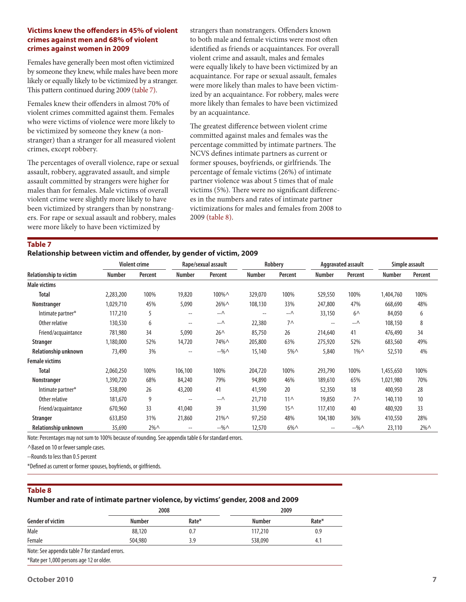#### **Victims knew the offenders in 45% of violent crimes against men and 68% of violent crimes against women in 2009**

Females have generally been most often victimized by someone they knew, while males have been more likely or equally likely to be victimized by a stranger. This pattern continued during 2009 (table 7).

Females knew their offenders in almost 70% of violent crimes committed against them. Females who were victims of violence were more likely to be victimized by someone they knew (a nonstranger) than a stranger for all measured violent crimes, except robbery.

The percentages of overall violence, rape or sexual assault, robbery, aggravated assault, and simple assault committed by strangers were higher for males than for females. Male victims of overall violent crime were slightly more likely to have been victimized by strangers than by nonstrangers. For rape or sexual assault and robbery, males were more likely to have been victimized by

strangers than nonstrangers. Offenders known to both male and female victims were most often identified as friends or acquaintances. For overall violent crime and assault, males and females were equally likely to have been victimized by an acquaintance. For rape or sexual assault, females were more likely than males to have been victimized by an acquaintance. For robbery, males were more likely than females to have been victimized by an acquaintance.

The greatest difference between violent crime committed against males and females was the percentage committed by intimate partners. The NCVS defines intimate partners as current or former spouses, boyfriends, or girlfriends. The percentage of female victims (26%) of intimate partner violence was about 5 times that of male victims (5%). There were no significant differences in the numbers and rates of intimate partner victimizations for males and females from 2008 to 2009 (table 8).

#### **Table 7**

#### **Relationship between victim and offender, by gender of victim, 2009**

|                               |               | <b>Violent crime</b> |                                       | Rape/sexual assault |                          | Robbery         |                          | Aggravated assault |               | Simple assault |
|-------------------------------|---------------|----------------------|---------------------------------------|---------------------|--------------------------|-----------------|--------------------------|--------------------|---------------|----------------|
| <b>Relationship to victim</b> | <b>Number</b> | Percent              | <b>Number</b>                         | Percent             | <b>Number</b>            | Percent         | <b>Number</b>            | Percent            | <b>Number</b> | Percent        |
| Male victims                  |               |                      |                                       |                     |                          |                 |                          |                    |               |                |
| <b>Total</b>                  | 2,283,200     | 100%                 | 19,820                                | 100%^               | 329,070                  | 100%            | 529,550                  | 100%               | 1,404,760     | 100%           |
| Nonstranger                   | 1,029,710     | 45%                  | 5,090                                 | 26%^                | 108,130                  | 33%             | 247,800                  | 47%                | 668,690       | 48%            |
| Intimate partner*             | 117,210       | 5                    | $\overline{\phantom{m}}$              | -- ^                | $\overline{\phantom{m}}$ | -- ^            | 33,150                   | $6^{\wedge}$       | 84,050        | 6              |
| Other relative                | 130,530       | 6                    | $\overline{\phantom{m}}$              | -- ^                | 22,380                   | $7^$            | $- -$                    | $ \wedge$          | 108,150       | 8              |
| Friend/acquaintance           | 781,980       | 34                   | 5,090                                 | $26^{\wedge}$       | 85,750                   | 26              | 214,640                  | 41                 | 476,490       | 34             |
| Stranger                      | 1,180,000     | 52%                  | 14,720                                | 74%^                | 205,800                  | 63%             | 275,920                  | 52%                | 683,560       | 49%            |
| Relationship unknown          | 73,490        | 3%                   | $\hspace{0.05cm}$ – $\hspace{0.05cm}$ | $-960$              | 15,140                   | $5\%$ $\wedge$  | 5,840                    | $1\%$              | 52,510        | 4%             |
| <b>Female victims</b>         |               |                      |                                       |                     |                          |                 |                          |                    |               |                |
| <b>Total</b>                  | 2,060,250     | 100%                 | 106,100                               | 100%                | 204,720                  | 100%            | 293,790                  | 100%               | 1,455,650     | 100%           |
| Nonstranger                   | 1,390,720     | 68%                  | 84,240                                | 79%                 | 94,890                   | 46%             | 189,610                  | 65%                | 1,021,980     | 70%            |
| Intimate partner*             | 538,090       | 26                   | 43,200                                | 41                  | 41,590                   | 20              | 52,350                   | 18                 | 400,950       | 28             |
| Other relative                | 181,670       | 9                    | $\overline{\phantom{m}}$              | --∧                 | 21,710                   | $11^$           | 19,850                   | $7^$               | 140,110       | 10             |
| Friend/acquaintance           | 670,960       | 33                   | 41,040                                | 39                  | 31,590                   | 15 <sub>0</sub> | 117,410                  | 40                 | 480,920       | 33             |
| Stranger                      | 633,850       | 31%                  | 21,860                                | $21\%$ $\wedge$     | 97,250                   | 48%             | 104,180                  | 36%                | 410,550       | 28%            |
| <b>Relationship unknown</b>   | 35,690        | $2\%$ $\wedge$       | $-$                                   | $-960$              | 12,570                   | $6\%$ $\wedge$  | $\overline{\phantom{m}}$ | $-960$             | 23,110        | $2\%$ $\wedge$ |

Note: Percentages may not sum to 100% because of rounding. See appendix table 6 for standard errors.

^Based on 10 or fewer sample cases.

--Rounds to less than 0.5 percent

\*Defined as current or former spouses, boyfriends, or girlfriends.

#### **Table 8**

#### **Number and rate of intimate partner violence, by victims' gender, 2008 and 2009**

|                                                 | 2008    |       | 2009          |       |  |
|-------------------------------------------------|---------|-------|---------------|-------|--|
| <b>Gender of victim</b>                         | Number  | Rate* | <b>Number</b> | Rate* |  |
| Male                                            | 88,120  | 0.7   | 117,210       | 0.9   |  |
| Female                                          | 504,980 | 3.9   | 538,090       | 4.1   |  |
| Note: See appendix table 7 for standard errors. |         |       |               |       |  |
|                                                 |         |       |               |       |  |

\*Rate per 1,000 persons age 12 or older.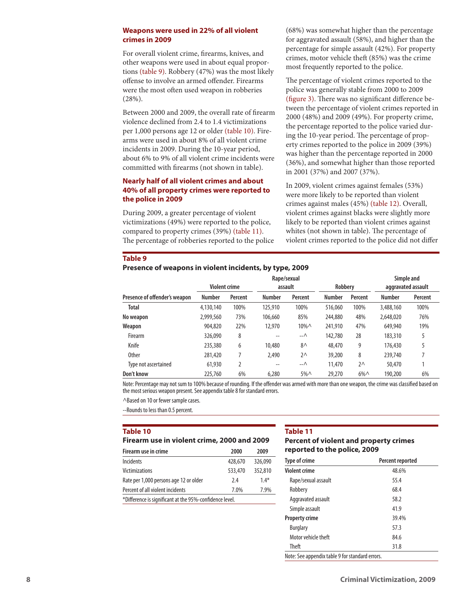#### **Weapons were used in 22% of all violent crimes in 2009**

For overall violent crime, firearms, knives, and other weapons were used in about equal proportions (table 9). Robbery (47%) was the most likely offense to involve an armed offender. Firearms were the most often used weapon in robberies (28%).

Between 2000 and 2009, the overall rate of firearm violence declined from 2.4 to 1.4 victimizations per 1,000 persons age 12 or older (table 10). Firearms were used in about 8% of all violent crime incidents in 2009. During the 10-year period, about 6% to 9% of all violent crime incidents were committed with firearms (not shown in table).

#### **Nearly half of all violent crimes and about 40% of all property crimes were reported to the police in 2009**

During 2009, a greater percentage of violent victimizations (49%) were reported to the police, compared to property crimes (39%) (table 11). The percentage of robberies reported to the police (68%) was somewhat higher than the percentage for aggravated assault (58%), and higher than the percentage for simple assault (42%). For property crimes, motor vehicle theft (85%) was the crime most frequently reported to the police.

The percentage of violent crimes reported to the police was generally stable from 2000 to 2009 (figure 3). There was no significant difference between the percentage of violent crimes reported in 2000 (48%) and 2009 (49%). For property crime, the percentage reported to the police varied during the 10-year period. The percentage of property crimes reported to the police in 2009 (39%) was higher than the percentage reported in 2000 (36%), and somewhat higher than those reported in 2001 (37%) and 2007 (37%).

In 2009, violent crimes against females (53%) were more likely to be reported than violent crimes against males (45%) (table 12). Overall, violent crimes against blacks were slightly more likely to be reported than violent crimes against whites (not shown in table). The percentage of violent crimes reported to the police did not differ

#### **Table 9**

#### **Presence of weapons in violent incidents, by type, 2009**

|                               |                      |         |               | Rape/sexual    |               |                |               | Simple and         |
|-------------------------------|----------------------|---------|---------------|----------------|---------------|----------------|---------------|--------------------|
|                               | <b>Violent crime</b> |         |               | assault        | Robbery       |                |               | aggravated assault |
| Presence of offender's weapon | <b>Number</b>        | Percent | <b>Number</b> | Percent        | <b>Number</b> | <b>Percent</b> | <b>Number</b> | Percent            |
| <b>Total</b>                  | 4,130,140            | 100%    | 125,910       | 100%           | 516,060       | 100%           | 3,488,160     | 100%               |
| No weapon                     | 2,999,560            | 73%     | 106,660       | 85%            | 244,880       | 48%            | 2,648,020     | 76%                |
| Weapon                        | 904,820              | 22%     | 12,970        | $10\% \wedge$  | 241,910       | 47%            | 649,940       | 19%                |
| Firearm                       | 326,090              | 8       | --            | –−∧            | 142.780       | 28             | 183,310       | 5                  |
| Knife                         | 235,380              | 6       | 10,480        | $8^{\wedge}$   | 48,470        | 9              | 176,430       |                    |
| <b>Other</b>                  | 281,420              |         | 2,490         | $2^{\wedge}$   | 39,200        | 8              | 239,740       |                    |
| Type not ascertained          | 61,930               |         | --            | –−∧            | 11,470        | $2^{\wedge}$   | 50,470        |                    |
| Don't know                    | 225,760              | 6%      | 6,280         | $5\%$ $\wedge$ | 29,270        | $6\%$ $\wedge$ | 190,200       | 6%                 |

Note: Percentage may not sum to 100% because of rounding. If the offender was armed with more than one weapon, the crime was classified based on the most serious weapon present. See appendix table 8 for standard errors.

^Based on 10 or fewer sample cases.

--Rounds to less than 0.5 percent.

#### **Table 10**

| Firearm use in violent crime, 2000 and 2009 |  |  |  |  |  |  |
|---------------------------------------------|--|--|--|--|--|--|
|---------------------------------------------|--|--|--|--|--|--|

| Firearm use in crime                                    | 2000    | 2009    |
|---------------------------------------------------------|---------|---------|
| Incidents                                               | 428,670 | 326,090 |
| <b>Victimizations</b>                                   | 533,470 | 352,810 |
| Rate per 1,000 persons age 12 or older                  | 7.4     | $1.4*$  |
| Percent of all violent incidents                        | 7.0%    | 7.9%    |
| *Difference is significant at the 95%-confidence level. |         |         |

#### **Table 11**

#### **Percent of violent and property crimes reported to the police, 2009**

| <b>Type of crime</b>  | Percent reported |
|-----------------------|------------------|
| <b>Violent crime</b>  | 48.6%            |
| Rape/sexual assault   | 55.4             |
| Robbery               | 68.4             |
| Aggravated assault    | 58.2             |
| Simple assault        | 41.9             |
| <b>Property crime</b> | 39.4%            |
| <b>Burglary</b>       | 57.3             |
| Motor vehicle theft   | 84.6             |
| <b>Theft</b>          | 31.8             |

Note: See appendix table 9 for standard errors.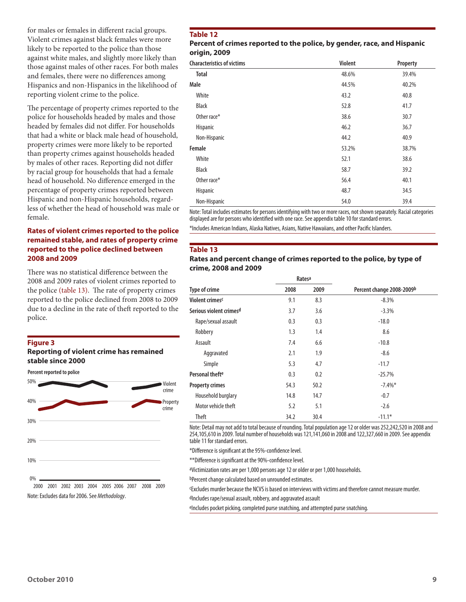for males or females in different racial groups. Violent crimes against black females were more likely to be reported to the police than those against white males, and slightly more likely than those against males of other races. For both males and females, there were no differences among Hispanics and non-Hispanics in the likelihood of reporting violent crime to the police.

The percentage of property crimes reported to the police for households headed by males and those headed by females did not differ. For households that had a white or black male head of household, property crimes were more likely to be reported than property crimes against households headed by males of other races. Reporting did not differ by racial group for households that had a female head of household. No difference emerged in the percentage of property crimes reported between Hispanic and non-Hispanic households, regardless of whether the head of household was male or female.

#### **Rates of violent crimes reported to the police remained stable, and rates of property crime reported to the police declined between 2008 and 2009**

There was no statistical difference between the 2008 and 2009 rates of violent crimes reported to the police (table 13). The rate of property crimes reported to the police declined from 2008 to 2009 due to a decline in the rate of theft reported to the police.

#### **Figure 3**

#### **Reporting of violent crime has remained stable since 2000**

**Percent reported to police** 



2000 2001 2002 2003 2004 2005 2006 2007 2008 2009 Note: Excludes data for 2006. See *Methodology*.

#### **Table 12**

#### **Percent of crimes reported to the police, by gender, race, and Hispanic origin, 2009**

| <b>Characteristics of victims</b> | <b>Violent</b> | Property |
|-----------------------------------|----------------|----------|
| <b>Total</b>                      | 48.6%          | 39.4%    |
| <b>Male</b>                       | 44.5%          | 40.2%    |
| White                             | 43.2           | 40.8     |
| Black                             | 52.8           | 41.7     |
| Other race*                       | 38.6           | 30.7     |
| Hispanic                          | 46.2           | 36.7     |
| Non-Hispanic                      | 44.2           | 40.9     |
| Female                            | 53.2%          | 38.7%    |
| White                             | 52.1           | 38.6     |
| Black                             | 58.7           | 39.2     |
| Other race*                       | 56.4           | 40.1     |
| Hispanic                          | 48.7           | 34.5     |
| Non-Hispanic                      | 54.0           | 39.4     |

Note: Total includes estimates for persons identifying with two or more races, not shown separately. Racial categories displayed are for persons who identified with one race. See appendix table 10 for standard errors.

\*Includes American Indians, Alaska Natives, Asians, Native Hawaiians, and other Pacific Islanders.

#### **Table 13**

#### **Rates and percent change of crimes reported to the police, by type of crime, 2008 and 2009**

|                             | Rates <sup>a</sup> |      |                           |
|-----------------------------|--------------------|------|---------------------------|
| Type of crime               | 2008               | 2009 | Percent change 2008-2009b |
| Violent crimes <sup>c</sup> | 9.1                | 8.3  | $-8.3%$                   |
| Serious violent crimesd     | 3.7                | 3.6  | $-3.3%$                   |
| Rape/sexual assault         | 0.3                | 0.3  | $-18.0$                   |
| Robbery                     | 1.3                | 1.4  | 8.6                       |
| Assault                     | 7.4                | 6.6  | $-10.8$                   |
| Aggravated                  | 2.1                | 1.9  | $-8.6$                    |
| Simple                      | 5.3                | 4.7  | $-11.7$                   |
| Personal theft <sup>e</sup> | 0.3                | 0.2  | $-25.7%$                  |
| <b>Property crimes</b>      | 54.3               | 50.2 | $-7.4\%$ *                |
| Household burglary          | 14.8               | 14.7 | $-0.7$                    |
| Motor vehicle theft         | 5.2                | 5.1  | $-2.6$                    |
| <b>Theft</b>                | 34.2               | 30.4 | $-11.1*$                  |

Note: Detail may not add to total because of rounding. Total population age 12 or older was 252,242,520 in 2008 and 254,105,610 in 2009. Total number of households was 121,141,060 in 2008 and 122,327,660 in 2009. See appendix table 11 for standard errors.

\*Difference is significant at the 95%-confidence level.

\*\*Difference is significant at the 90%-confidence level.

aVictimization rates are per 1,000 persons age 12 or older or per 1,000 households.

bPercent change calculated based on unrounded estimates.

cExcludes murder because the NCVS is based on interviews with victims and therefore cannot measure murder.

dIncludes rape/sexual assault, robbery, and aggravated assault

eIncludes pocket picking, completed purse snatching, and attempted purse snatching.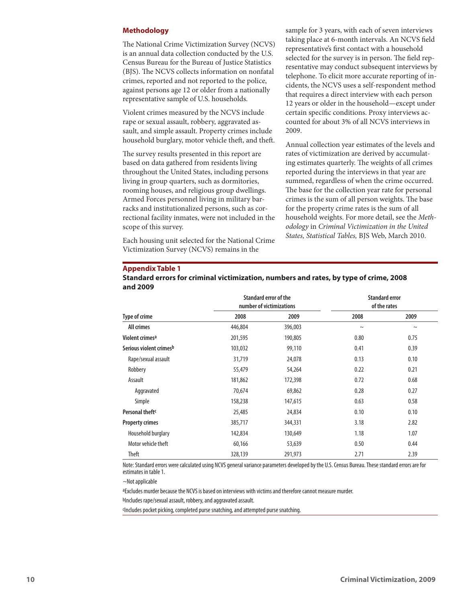#### **Methodology**

The National Crime Victimization Survey (NCVS) is an annual data collection conducted by the U.S. Census Bureau for the Bureau of Justice Statistics (BJS). The NCVS collects information on nonfatal crimes, reported and not reported to the police, against persons age 12 or older from a nationally representative sample of U.S. households.

Violent crimes measured by the NCVS include rape or sexual assault, robbery, aggravated assault, and simple assault. Property crimes include household burglary, motor vehicle theft, and theft.

The survey results presented in this report are based on data gathered from residents living throughout the United States, including persons living in group quarters, such as dormitories, rooming houses, and religious group dwellings. Armed Forces personnel living in military barracks and institutionalized persons, such as correctional facility inmates, were not included in the scope of this survey.

Each housing unit selected for the National Crime Victimization Survey (NCVS) remains in the

sample for 3 years, with each of seven interviews taking place at 6-month intervals. An NCVS field representative's first contact with a household selected for the survey is in person. The field representative may conduct subsequent interviews by telephone. To elicit more accurate reporting of incidents, the NCVS uses a self-respondent method that requires a direct interview with each person 12 years or older in the household—except under certain specific conditions. Proxy interviews accounted for about 3% of all NCVS interviews in 2009.

Annual collection year estimates of the levels and rates of victimization are derived by accumulating estimates quarterly. The weights of all crimes reported during the interviews in that year are summed, regardless of when the crime occurred. The base for the collection year rate for personal crimes is the sum of all person weights. The base for the property crime rates is the sum of all household weights. For more detail, see the *Methodology* in *Criminal Victimization in the United States, Statistical Tables,* BJS Web, March 2010.

#### **Appendix Table 1**

|                             | Standard error of the<br>number of victimizations |         |        | <b>Standard error</b><br>of the rates |
|-----------------------------|---------------------------------------------------|---------|--------|---------------------------------------|
| <b>Type of crime</b>        | 2008                                              | 2009    | 2008   | 2009                                  |
| All crimes                  | 446,804                                           | 396,003 | $\sim$ | $\sim$                                |
| Violent crimes <sup>a</sup> | 201,595                                           | 190,805 | 0.80   | 0.75                                  |
| Serious violent crimesb     | 103,032                                           | 99,110  | 0.41   | 0.39                                  |
| Rape/sexual assault         | 31,719                                            | 24,078  | 0.13   | 0.10                                  |
| Robbery                     | 55,479                                            | 54,264  | 0.22   | 0.21                                  |
| Assault                     | 181,862                                           | 172,398 | 0.72   | 0.68                                  |
| Aggravated                  | 70,674                                            | 69,862  | 0.28   | 0.27                                  |
| Simple                      | 158,238                                           | 147,615 | 0.63   | 0.58                                  |
| Personal theft <sup>c</sup> | 25,485                                            | 24,834  | 0.10   | 0.10                                  |
| <b>Property crimes</b>      | 385,717                                           | 344,331 | 3.18   | 2.82                                  |
| Household burglary          | 142,834                                           | 130,649 | 1.18   | 1.07                                  |
| Motor vehicle theft         | 60,166                                            | 53,639  | 0.50   | 0.44                                  |
| Theft                       | 328,139                                           | 291,973 | 2.71   | 2.39                                  |

**Standard errors for criminal victimization, numbers and rates, by type of crime, 2008 and 2009**

Note: Standard errors were calculated using NCVS general variance parameters developed by the U.S. Census Bureau. These standard errors are for estimates in table 1.

~Not applicable

aExcludes murder because the NCVS is based on interviews with victims and therefore cannot measure murder.

bIncludes rape/sexual assault, robbery, and aggravated assault.

CIncludes pocket picking, completed purse snatching, and attempted purse snatching.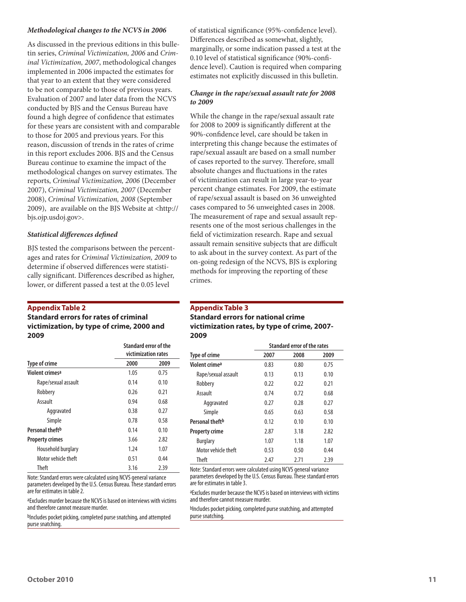#### *Methodological changes to the NCVS in 2006*

As discussed in the previous editions in this bulletin series, *Criminal Victimization, 2006* and *Criminal Victimization, 2007*, methodological changes implemented in 2006 impacted the estimates for that year to an extent that they were considered to be not comparable to those of previous years. Evaluation of 2007 and later data from the NCVS conducted by BJS and the Census Bureau have found a high degree of confidence that estimates for these years are consistent with and comparable to those for 2005 and previous years. For this reason, discussion of trends in the rates of crime in this report excludes 2006. BJS and the Census Bureau continue to examine the impact of the methodological changes on survey estimates. The reports, *Criminal Victimization, 2006* (December 2007), *Criminal Victimization, 2007* (December 2008), *Criminal Victimization, 2008* (September 2009), are available on the BJS Website at <http:// bjs.ojp.usdoj.gov>.

#### *Statistical differences defined*

BJS tested the comparisons between the percentages and rates for *Criminal Victimization, 2009* to determine if observed differences were statistically significant. Differences described as higher, lower, or different passed a test at the 0.05 level

#### **Appendix Table 2**

#### **Standard errors for rates of criminal victimization, by type of crime, 2000 and 2009**

|                             | Standard error of the<br>victimization rates |      |  |
|-----------------------------|----------------------------------------------|------|--|
| <b>Type of crime</b>        | 2000                                         | 2009 |  |
| Violent crimesa             | 1.05                                         | 0.75 |  |
| Rape/sexual assault         | 0.14                                         | 0.10 |  |
| Robbery                     | 0.26                                         | 0.21 |  |
| Assault                     | 0.94                                         | 0.68 |  |
| Aggravated                  | 0.38                                         | 0.27 |  |
| Simple                      | 0.78                                         | 0.58 |  |
| Personal theft <sup>b</sup> | 0.14                                         | 0.10 |  |
| <b>Property crimes</b>      | 3.66                                         | 2.82 |  |
| Household burglary          | 1.24                                         | 1.07 |  |
| Motor vehicle theft         | 0.51                                         | 0.44 |  |
| <b>Theft</b>                | 3.16                                         | 2.39 |  |

Note: Standard errors were calculated using NCVS general variance parameters developed by the U.S. Census Bureau. These standard errors are for estimates in table 2.

aExcludes murder because the NCVS is based on interviews with victims and therefore cannot measure murder.

bIncludes pocket picking, completed purse snatching, and attempted purse snatching.

of statistical significance (95%-confidence level). Differences described as somewhat, slightly, marginally, or some indication passed a test at the 0.10 level of statistical significance (90%-confidence level). Caution is required when comparing estimates not explicitly discussed in this bulletin.

#### *Change in the rape/sexual assault rate for 2008 to 2009*

While the change in the rape/sexual assault rate for 2008 to 2009 is significantly different at the 90%-confidence level, care should be taken in interpreting this change because the estimates of rape/sexual assault are based on a small number of cases reported to the survey. Therefore, small absolute changes and fluctuations in the rates of victimization can result in large year-to-year percent change estimates. For 2009, the estimate of rape/sexual assault is based on 36 unweighted cases compared to 56 unweighted cases in 2008. The measurement of rape and sexual assault represents one of the most serious challenges in the field of victimization research. Rape and sexual assault remain sensitive subjects that are difficult to ask about in the survey context. As part of the on-going redesign of the NCVS, BJS is exploring methods for improving the reporting of these crimes.

#### **Appendix Table 3**

#### **Standard errors for national crime victimization rates, by type of crime, 2007- 2009**

|                             | Standard error of the rates |      |      |  |  |
|-----------------------------|-----------------------------|------|------|--|--|
| <b>Type of crime</b>        | 2007                        | 2008 | 2009 |  |  |
| Violent crime <sup>a</sup>  | 0.83                        | 0.80 | 0.75 |  |  |
| Rape/sexual assault         | 0.13                        | 0.13 | 0.10 |  |  |
| Robbery                     | 0.22                        | 0.22 | 0.21 |  |  |
| Assault                     | 0.74                        | 0.72 | 0.68 |  |  |
| Aggravated                  | 0.27                        | 0.28 | 0.27 |  |  |
| Simple                      | 0.65                        | 0.63 | 0.58 |  |  |
| Personal theft <sup>b</sup> | 0.12                        | 0.10 | 0.10 |  |  |
| <b>Property crime</b>       | 2.87                        | 3.18 | 2.82 |  |  |
| <b>Burglary</b>             | 1.07                        | 1.18 | 1.07 |  |  |
| Motor vehicle theft         | 0.53                        | 0.50 | 0.44 |  |  |
| Theft                       | 2.47                        | 2.71 | 2.39 |  |  |

Note: Standard errors were calculated using NCVS general variance parameters developed by the U.S. Census Bureau. These standard errors are for estimates in table 3.

aExcludes murder because the NCVS is based on interviews with victims and therefore cannot measure murder.

bIncludes pocket picking, completed purse snatching, and attempted purse snatching.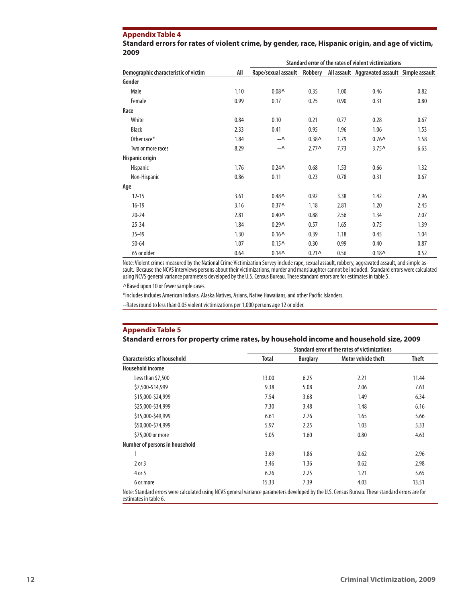#### **Appendix Table 4**

| Standard errors for rates of violent crime, by gender, race, Hispanic origin, and age of victim, |  |
|--------------------------------------------------------------------------------------------------|--|
| 2009                                                                                             |  |

|                                      |      | Standard error of the rates of violent victimizations                     |                   |      |                   |      |  |
|--------------------------------------|------|---------------------------------------------------------------------------|-------------------|------|-------------------|------|--|
| Demographic characteristic of victim | All  | Rape/sexual assault Robbery All assault Aggravated assault Simple assault |                   |      |                   |      |  |
| Gender                               |      |                                                                           |                   |      |                   |      |  |
| Male                                 | 1.10 | $0.08 \wedge$                                                             | 0.35              | 1.00 | 0.46              | 0.82 |  |
| Female                               | 0.99 | 0.17                                                                      | 0.25              | 0.90 | 0.31              | 0.80 |  |
| Race                                 |      |                                                                           |                   |      |                   |      |  |
| White                                | 0.84 | 0.10                                                                      | 0.21              | 0.77 | 0.28              | 0.67 |  |
| <b>Black</b>                         | 2.33 | 0.41                                                                      | 0.95              | 1.96 | 1.06              | 1.53 |  |
| Other race*                          | 1.84 | ۰-۸                                                                       | 0.38 <sub>0</sub> | 1.79 | $0.76^$           | 1.58 |  |
| Two or more races                    | 8.29 | ۰-۸                                                                       | $2.77^$           | 7.73 | 3.75 <sub>0</sub> | 6.63 |  |
| Hispanic origin                      |      |                                                                           |                   |      |                   |      |  |
| Hispanic                             | 1.76 | 0.24 <sub>0</sub>                                                         | 0.68              | 1.53 | 0.66              | 1.32 |  |
| Non-Hispanic                         | 0.86 | 0.11                                                                      | 0.23              | 0.78 | 0.31              | 0.67 |  |
| Age                                  |      |                                                                           |                   |      |                   |      |  |
| $12 - 15$                            | 3.61 | $0.48 \wedge$                                                             | 0.92              | 3.38 | 1.42              | 2.96 |  |
| $16-19$                              | 3.16 | 0.37 <sub>0</sub>                                                         | 1.18              | 2.81 | 1.20              | 2.45 |  |
| $20 - 24$                            | 2.81 | $0.40 \wedge$                                                             | 0.88              | 2.56 | 1.34              | 2.07 |  |
| $25 - 34$                            | 1.84 | 0.29 <sub>0</sub>                                                         | 0.57              | 1.65 | 0.75              | 1.39 |  |
| $35 - 49$                            | 1.30 | $0.16^$                                                                   | 0.39              | 1.18 | 0.45              | 1.04 |  |
| $50 - 64$                            | 1.07 | $0.15^$                                                                   | 0.30              | 0.99 | 0.40              | 0.87 |  |
| 65 or older                          | 0.64 | 0.14 <sub>0</sub>                                                         | $0.21 \wedge$     | 0.56 | $0.18^$           | 0.52 |  |

Note: Violent crimes measured by the National Crime Victimization Survey include rape, sexual assault, robbery, aggravated assault, and simple assault. Because the NCVS interviews persons about their victimizations, murder and manslaughter cannot be included. Standard errors were calculated using NCVS general variance parameters developed by the U.S. Census Bureau. These standard errors are for estimates in table 5.

^Based upon 10 or fewer sample cases.

\*Includes includes American Indians, Alaska Natives, Asians, Native Hawaiians, and other Pacific Islanders.

--Rates round to less than 0.05 violent victimizations per 1,000 persons age 12 or older.

#### **Appendix Table 5**

#### **Standard errors for property crime rates, by household income and household size, 2009**

|                                     | Standard error of the rates of victimizations |                 |                     |              |  |
|-------------------------------------|-----------------------------------------------|-----------------|---------------------|--------------|--|
| <b>Characteristics of household</b> | <b>Total</b>                                  | <b>Burglary</b> | Motor vehicle theft | <b>Theft</b> |  |
| Household income                    |                                               |                 |                     |              |  |
| Less than \$7,500                   | 13.00                                         | 6.25            | 2.21                | 11.44        |  |
| \$7,500-\$14,999                    | 9.38                                          | 5.08            | 2.06                | 7.63         |  |
| \$15,000-\$24,999                   | 7.54                                          | 3.68            | 1.49                | 6.34         |  |
| \$25,000-\$34,999                   | 7.30                                          | 3.48            | 1.48                | 6.16         |  |
| \$35,000-\$49,999                   | 6.61                                          | 2.76            | 1.65                | 5.66         |  |
| \$50,000-\$74,999                   | 5.97                                          | 2.25            | 1.03                | 5.33         |  |
| \$75,000 or more                    | 5.05                                          | 1.60            | 0.80                | 4.63         |  |
| Number of persons in household      |                                               |                 |                     |              |  |
|                                     | 3.69                                          | 1.86            | 0.62                | 2.96         |  |
| $2$ or $3$                          | 3.46                                          | 1.36            | 0.62                | 2.98         |  |
| 4 or 5                              | 6.26                                          | 2.25            | 1.21                | 5.65         |  |
| 6 or more                           | 15.33                                         | 7.39            | 4.03                | 13.51        |  |

Note: Standard errors were calculated using NCVS general variance parameters developed by the U.S. Census Bureau. These standard errors are for estimates in table 6.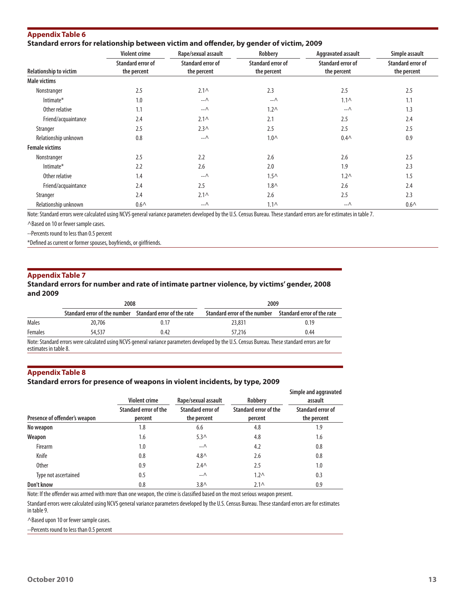| Appendix Table 6                                                                        |  |
|-----------------------------------------------------------------------------------------|--|
| Standard errors for relationship between victim and offender, by gender of victim, 2009 |  |

|                               | <b>Violent crime</b>     | Rape/sexual assault      | Robbery                  | Aggravated assault       | Simple assault    |
|-------------------------------|--------------------------|--------------------------|--------------------------|--------------------------|-------------------|
|                               | <b>Standard error of</b> | <b>Standard error of</b> | <b>Standard error of</b> | <b>Standard error of</b> | Standard error of |
| <b>Relationship to victim</b> | the percent              | the percent              | the percent              | the percent              | the percent       |
| Male victims                  |                          |                          |                          |                          |                   |
| Nonstranger                   | 2.5                      | $2.1\wedge$              | 2.3                      | 2.5                      | 2.5               |
| Intimate*                     | 1.0                      | $-\Lambda$               | $ \wedge$                | $1.1\wedge$              | 1.1               |
| Other relative                | 1.1                      | $ \wedge$                | 1.2 <sub>0</sub>         | $-\Lambda$               | 1.3               |
| Friend/acquaintance           | 2.4                      | $2.1\wedge$              | 2.1                      | 2.5                      | 2.4               |
| Stranger                      | 2.5                      | 2.3 <sub>0</sub>         | 2.5                      | 2.5                      | 2.5               |
| Relationship unknown          | 0.8                      | $ \wedge$                | 1.0 <sub>0</sub>         | $0.4 \wedge$             | 0.9               |
| <b>Female victims</b>         |                          |                          |                          |                          |                   |
| Nonstranger                   | 2.5                      | 2.2                      | 2.6                      | 2.6                      | 2.5               |
| Intimate*                     | 2.2                      | 2.6                      | 2.0                      | 1.9                      | 2.3               |
| Other relative                | 1.4                      | -- ^                     | 1.5 <sub>0</sub>         | 1.2 <sub>0</sub>         | 1.5               |
| Friend/acquaintance           | 2.4                      | 2.5                      | $1.8\wedge$              | 2.6                      | 2.4               |
| Stranger                      | 2.4                      | $2.1\wedge$              | 2.6                      | 2.5                      | 2.3               |
| Relationship unknown          | 0.6 <sub>0</sub>         | -- ^                     | $1.1\wedge$              | $ \wedge$                | 0.6 <sub>0</sub>  |

Note: Standard errors were calculated using NCVS general variance parameters developed by the U.S. Census Bureau. These standard errors are for estimates in table 7.

^Based on 10 or fewer sample cases.

--Percents round to less than 0.5 percent

\*Defined as current or former spouses, boyfriends, or girlfriends.

#### **Appendix Table 7**

#### **Standard errors for number and rate of intimate partner violence, by victims' gender, 2008 and 2009**

|         | 2008                                                    |      | 2009                                                    |      |
|---------|---------------------------------------------------------|------|---------------------------------------------------------|------|
|         | Standard error of the number Standard error of the rate |      | Standard error of the number Standard error of the rate |      |
| Males   | 20,706                                                  | 0.17 | 23.831                                                  | 0.19 |
| Females | 54,537                                                  | 0.42 | 57,216                                                  | 0.44 |
|         |                                                         |      |                                                         |      |

Note: Standard errors were calculated using NCVS general variance parameters developed by the U.S. Census Bureau. These standard errors are for estimates in table 8.

#### **Appendix Table 8**

#### **Standard errors for presence of weapons in violent incidents, by type, 2009**

|                               | <b>Violent crime</b>             | Rape/sexual assault              | Robbery                          | Simple and aggravated<br>assault |
|-------------------------------|----------------------------------|----------------------------------|----------------------------------|----------------------------------|
| Presence of offender's weapon | Standard error of the<br>percent | Standard error of<br>the percent | Standard error of the<br>percent | Standard error of<br>the percent |
| No weapon                     | 1.8                              | 6.6                              | 4.8                              | 1.9                              |
| Weapon                        | 1.6                              | 5.3 <sub>0</sub>                 | 4.8                              | 1.6                              |
| Firearm                       | 1.0                              | $ \wedge$                        | 4.2                              | 0.8                              |
| Knife                         | 0.8                              | 4.8 <sub>0</sub>                 | 2.6                              | 0.8                              |
| <b>Other</b>                  | 0.9                              | $2.4\wedge$                      | 2.5                              | 1.0                              |
| Type not ascertained          | 0.5                              | $ \wedge$                        | 1.2 <sub>0</sub>                 | 0.3                              |
| Don't know                    | 0.8                              | $3.8\wedge$                      | $2.1\wedge$                      | 0.9                              |

Note: If the offender was armed with more than one weapon, the crime is classified based on the most serious weapon present.

Standard errors were calculated using NCVS general variance parameters developed by the U.S. Census Bureau. These standard errors are for estimates in table 9.

^Based upon 10 or fewer sample cases.

--Percents round to less than 0.5 percent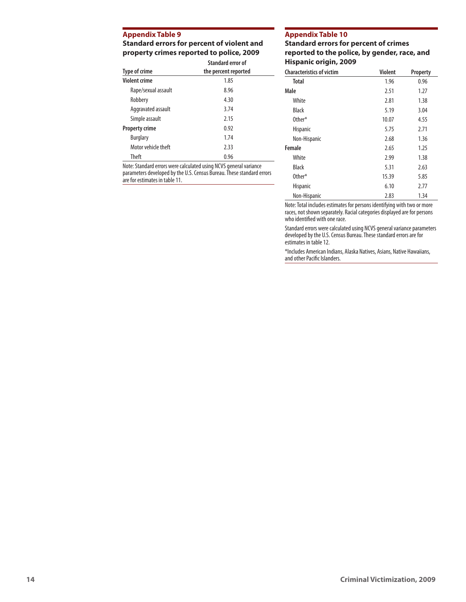#### **Appendix Table 9**

**Standard errors for percent of violent and property crimes reported to police, 2009**

|                       | Standard error of    |  |
|-----------------------|----------------------|--|
| Type of crime         | the percent reported |  |
| <b>Violent crime</b>  | 1.85                 |  |
| Rape/sexual assault   | 8.96                 |  |
| Robbery               | 4.30                 |  |
| Aggravated assault    | 3.74                 |  |
| Simple assault        | 2.15                 |  |
| <b>Property crime</b> | 0.92                 |  |
| <b>Burglary</b>       | 1.74                 |  |
| Motor vehicle theft   | 2.33                 |  |
| Theft                 | 0.96                 |  |

Note: Standard errors were calculated using NCVS general variance parameters developed by the U.S. Census Bureau. These standard errors are for estimates in table 11.

#### **Appendix Table 10**

#### **Standard errors for percent of crimes reported to the police, by gender, race, and Hispanic origin, 2009**

| <b>Characteristics of victim</b> | <b>Violent</b> | Property |
|----------------------------------|----------------|----------|
| Total                            | 1.96           | 0.96     |
| Male                             | 2.51           | 1.27     |
| White                            | 2.81           | 1.38     |
| <b>Black</b>                     | 5.19           | 3.04     |
| Other*                           | 10.07          | 4.55     |
| <b>Hispanic</b>                  | 5.75           | 2.71     |
| Non-Hispanic                     | 2.68           | 1.36     |
| Female                           | 2.65           | 1.25     |
| White                            | 2.99           | 1.38     |
| <b>Black</b>                     | 5.31           | 2.63     |
| Other*                           | 15.39          | 5.85     |
| <b>Hispanic</b>                  | 6.10           | 2.77     |
| Non-Hispanic                     | 2.83           | 1.34     |

Note: Total includes estimates for persons identifying with two or more races, not shown separately. Racial categories displayed are for persons who identified with one race.

Standard errors were calculated using NCVS general variance parameters developed by the U.S. Census Bureau. These standard errors are for estimates in table 12.

\*Includes American Indians, Alaska Natives, Asians, Native Hawaiians, and other Pacific Islanders.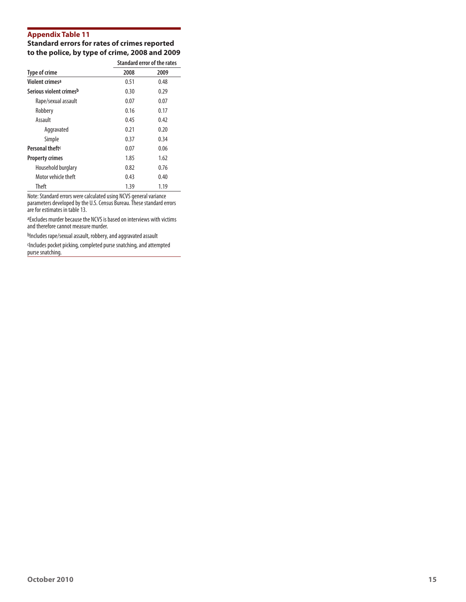### **Appendix Table 11**

#### **Standard errors for rates of crimes reported to the police, by type of crime, 2008 and 2009**

|                             |      | Standard error of the rates |  |
|-----------------------------|------|-----------------------------|--|
| Type of crime               | 2008 | 2009                        |  |
| Violent crimes <sup>a</sup> | 0.51 | 0.48                        |  |
| Serious violent crimesb     | 0.30 | 0.29                        |  |
| Rape/sexual assault         | 0.07 | 0.07                        |  |
| Robbery                     | 0.16 | 0.17                        |  |
| Assault                     | 0.45 | 0.42                        |  |
| Aggravated                  | 0.21 | 0.20                        |  |
| Simple                      | 0.37 | 0.34                        |  |
| Personal theft <sup>c</sup> | 0.07 | 0.06                        |  |
| <b>Property crimes</b>      | 1.85 | 1.62                        |  |
| Household burglary          | 0.82 | 0.76                        |  |
| Motor vehicle theft         | 0.43 | 0.40                        |  |
| Theft                       | 1.39 | 1.19                        |  |

Note: Standard errors were calculated using NCVS general variance parameters developed by the U.S. Census Bureau. These standard errors are for estimates in table 13.

aExcludes murder because the NCVS is based on interviews with victims and therefore cannot measure murder.

bIncludes rape/sexual assault, robbery, and aggravated assault

Includes pocket picking, completed purse snatching, and attempted purse snatching.